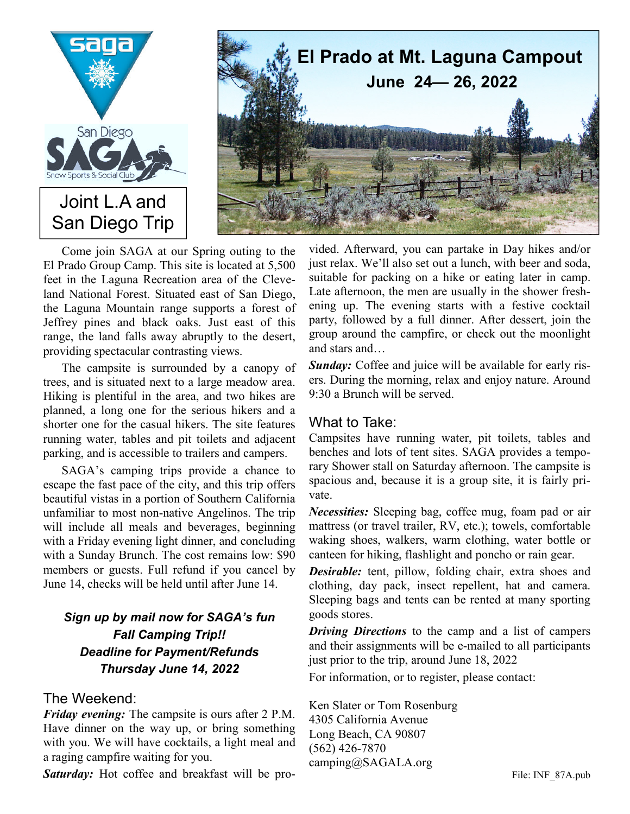



Come join SAGA at our Spring outing to the El Prado Group Camp. This site is located at 5,500 feet in the Laguna Recreation area of the Cleveland National Forest. Situated east of San Diego, the Laguna Mountain range supports a forest of Jeffrey pines and black oaks. Just east of this range, the land falls away abruptly to the desert, providing spectacular contrasting views.

The campsite is surrounded by a canopy of trees, and is situated next to a large meadow area. Hiking is plentiful in the area, and two hikes are planned, a long one for the serious hikers and a shorter one for the casual hikers. The site features running water, tables and pit toilets and adjacent parking, and is accessible to trailers and campers.

SAGA's camping trips provide a chance to escape the fast pace of the city, and this trip offers beautiful vistas in a portion of Southern California unfamiliar to most non-native Angelinos. The trip will include all meals and beverages, beginning with a Friday evening light dinner, and concluding with a Sunday Brunch. The cost remains low: \$90 members or guests. Full refund if you cancel by June 14, checks will be held until after June 14.

## *Sign up by mail now for SAGA's fun Fall Camping Trip!! Deadline for Payment/Refunds Thursday June 14, 2022*

## The Weekend:

*Friday evening:* The campsite is ours after 2 P.M. Have dinner on the way up, or bring something with you. We will have cocktails, a light meal and a raging campfire waiting for you.

*Saturday:* Hot coffee and breakfast will be pro-

vided. Afterward, you can partake in Day hikes and/or just relax. We'll also set out a lunch, with beer and soda, suitable for packing on a hike or eating later in camp. Late afternoon, the men are usually in the shower freshening up. The evening starts with a festive cocktail party, followed by a full dinner. After dessert, join the group around the campfire, or check out the moonlight and stars and…

*Sunday:* Coffee and juice will be available for early risers. During the morning, relax and enjoy nature. Around 9:30 a Brunch will be served.

## What to Take:

Campsites have running water, pit toilets, tables and benches and lots of tent sites. SAGA provides a temporary Shower stall on Saturday afternoon. The campsite is spacious and, because it is a group site, it is fairly private.

*Necessities:* Sleeping bag, coffee mug, foam pad or air mattress (or travel trailer, RV, etc.); towels, comfortable waking shoes, walkers, warm clothing, water bottle or canteen for hiking, flashlight and poncho or rain gear.

*Desirable:* tent, pillow, folding chair, extra shoes and clothing, day pack, insect repellent, hat and camera. Sleeping bags and tents can be rented at many sporting goods stores.

*Driving Directions* to the camp and a list of campers and their assignments will be e-mailed to all participants just prior to the trip, around June 18, 2022

For information, or to register, please contact:

Ken Slater or Tom Rosenburg 4305 California Avenue Long Beach, CA 90807 (562) 426-7870 camping@SAGALA.org